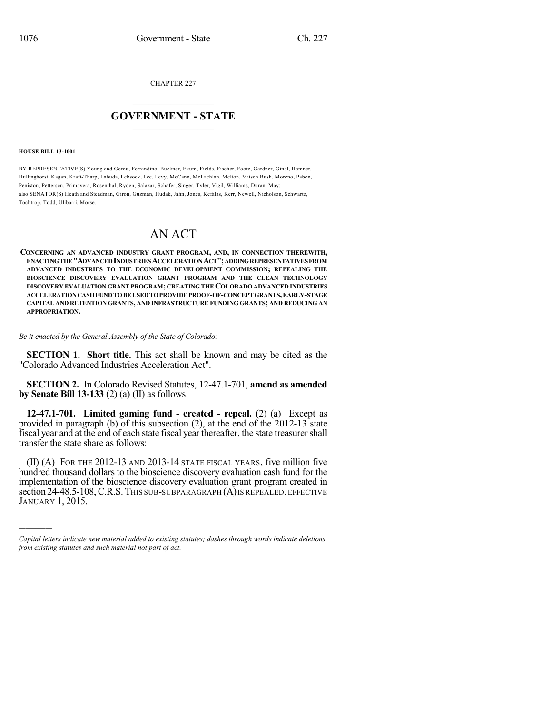CHAPTER 227

## $\mathcal{L}_\text{max}$  . The set of the set of the set of the set of the set of the set of the set of the set of the set of the set of the set of the set of the set of the set of the set of the set of the set of the set of the set **GOVERNMENT - STATE**  $\_$   $\_$   $\_$   $\_$   $\_$   $\_$   $\_$   $\_$

**HOUSE BILL 13-1001**

)))))

BY REPRESENTATIVE(S) Young and Gerou, Ferrandino, Buckner, Exum, Fields, Fischer, Foote, Gardner, Ginal, Hamner, Hullinghorst, Kagan, Kraft-Tharp, Labuda, Lebsock, Lee, Levy, McCann, McLachlan, Melton, Mitsch Bush, Moreno, Pabon, Peniston, Pettersen, Primavera, Rosenthal, Ryden, Salazar, Schafer, Singer, Tyler, Vigil, Williams, Duran, May; also SENATOR(S) Heath and Steadman, Giron, Guzman, Hudak, Jahn, Jones, Kefalas, Kerr, Newell, Nicholson, Schwartz, Tochtrop, Todd, Ulibarri, Morse.

# AN ACT

**CONCERNING AN ADVANCED INDUSTRY GRANT PROGRAM, AND, IN CONNECTION THEREWITH, ENACTINGTHE"ADVANCEDINDUSTRIES ACCELERATIONACT";ADDINGREPRESENTATIVESFROM ADVANCED INDUSTRIES TO THE ECONOMIC DEVELOPMENT COMMISSION; REPEALING THE BIOSCIENCE DISCOVERY EVALUATION GRANT PROGRAM AND THE CLEAN TECHNOLOGY DISCOVERY EVALUATION GRANT PROGRAM; CREATINGTHE COLORADO ADVANCED INDUSTRIES ACCELERATIONCASHFUNDTOBE USEDTOPROVIDE PROOF-OF-CONCEPT GRANTS,EARLY-STAGE CAPITAL AND RETENTION GRANTS, AND INFRASTRUCTURE FUNDING GRANTS; AND REDUCING AN APPROPRIATION.**

#### *Be it enacted by the General Assembly of the State of Colorado:*

**SECTION 1. Short title.** This act shall be known and may be cited as the "Colorado Advanced Industries Acceleration Act".

**SECTION 2.** In Colorado Revised Statutes, 12-47.1-701, **amend as amended by Senate Bill 13-133** (2) (a) (II) as follows:

**12-47.1-701. Limited gaming fund - created - repeal.** (2) (a) Except as provided in paragraph (b) of this subsection (2), at the end of the 2012-13 state fiscal year and at the end of each state fiscal year thereafter, the state treasurershall transfer the state share as follows:

(II) (A) FOR THE 2012-13 AND 2013-14 STATE FISCAL YEARS, five million five hundred thousand dollars to the bioscience discovery evaluation cash fund for the implementation of the bioscience discovery evaluation grant program created in section 24-48.5-108, C.R.S. THIS SUB-SUBPARAGRAPH (A) IS REPEALED, EFFECTIVE JANUARY 1, 2015.

*Capital letters indicate new material added to existing statutes; dashes through words indicate deletions from existing statutes and such material not part of act.*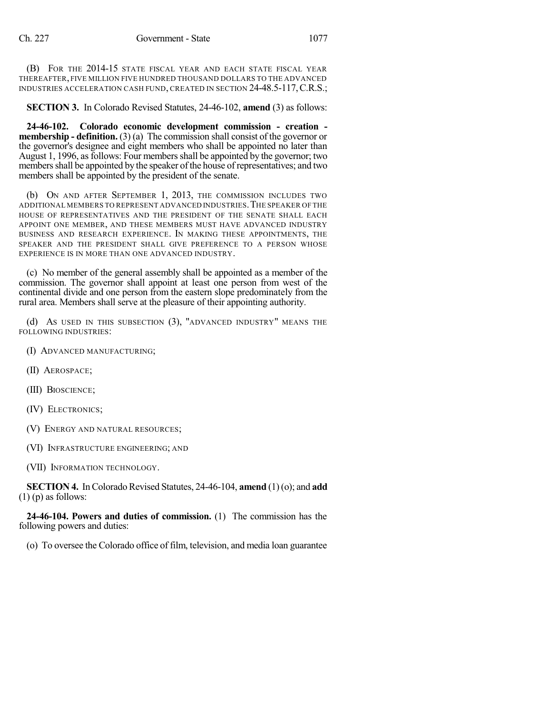(B) FOR THE 2014-15 STATE FISCAL YEAR AND EACH STATE FISCAL YEAR THEREAFTER, FIVE MILLION FIVE HUNDRED THOUSAND DOLLARS TO THE ADVANCED INDUSTRIES ACCELERATION CASH FUND, CREATED IN SECTION 24-48.5-117,C.R.S.;

**SECTION 3.** In Colorado Revised Statutes, 24-46-102, **amend** (3) as follows:

**24-46-102. Colorado economic development commission - creation membership - definition.** (3) (a) The commission shall consist of the governor or the governor's designee and eight members who shall be appointed no later than August 1, 1996, as follows: Four members shall be appointed by the governor; two members shall be appointed by the speaker of the house of representatives; and two members shall be appointed by the president of the senate.

(b) ON AND AFTER SEPTEMBER 1, 2013, THE COMMISSION INCLUDES TWO ADDITIONAL MEMBERS TO REPRESENT ADVANCED INDUSTRIES. THE SPEAKER OF THE HOUSE OF REPRESENTATIVES AND THE PRESIDENT OF THE SENATE SHALL EACH APPOINT ONE MEMBER, AND THESE MEMBERS MUST HAVE ADVANCED INDUSTRY BUSINESS AND RESEARCH EXPERIENCE. IN MAKING THESE APPOINTMENTS, THE SPEAKER AND THE PRESIDENT SHALL GIVE PREFERENCE TO A PERSON WHOSE EXPERIENCE IS IN MORE THAN ONE ADVANCED INDUSTRY.

(c) No member of the general assembly shall be appointed as a member of the commission. The governor shall appoint at least one person from west of the continental divide and one person from the eastern slope predominately from the rural area. Members shall serve at the pleasure of their appointing authority.

(d) AS USED IN THIS SUBSECTION (3), "ADVANCED INDUSTRY" MEANS THE FOLLOWING INDUSTRIES:

(I) ADVANCED MANUFACTURING;

- (II) AEROSPACE;
- (III) BIOSCIENCE;
- (IV) ELECTRONICS;
- (V) ENERGY AND NATURAL RESOURCES;
- (VI) INFRASTRUCTURE ENGINEERING; AND
- (VII) INFORMATION TECHNOLOGY.

**SECTION 4.** In Colorado Revised Statutes, 24-46-104, **amend** (1)(o); and **add**  $(1)$  (p) as follows:

**24-46-104. Powers and duties of commission.** (1) The commission has the following powers and duties:

(o) To oversee the Colorado office of film, television, and media loan guarantee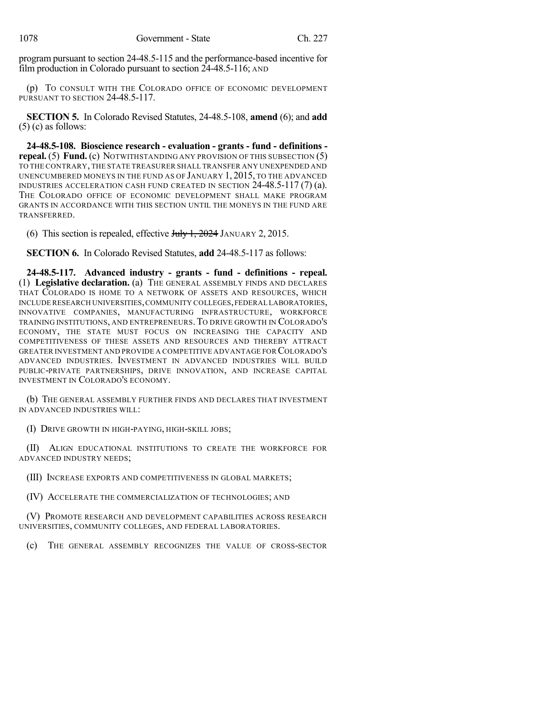program pursuant to section 24-48.5-115 and the performance-based incentive for film production in Colorado pursuant to section 24-48.5-116; AND

(p) TO CONSULT WITH THE COLORADO OFFICE OF ECONOMIC DEVELOPMENT PURSUANT TO SECTION 24-48.5-117.

**SECTION 5.** In Colorado Revised Statutes, 24-48.5-108, **amend** (6); and **add**  $(5)$  (c) as follows:

**24-48.5-108. Bioscience research - evaluation - grants - fund - definitions repeal.** (5) **Fund.** (c) NOTWITHSTANDING ANY PROVISION OF THIS SUBSECTION (5) TO THE CONTRARY, THE STATE TREASURER SHALL TRANSFER ANY UNEXPENDED AND UNENCUMBERED MONEYS IN THE FUND AS OF JANUARY 1, 2015, TO THE ADVANCED INDUSTRIES ACCELERATION CASH FUND CREATED IN SECTION 24-48.5-117 (7) (a). THE COLORADO OFFICE OF ECONOMIC DEVELOPMENT SHALL MAKE PROGRAM GRANTS IN ACCORDANCE WITH THIS SECTION UNTIL THE MONEYS IN THE FUND ARE TRANSFERRED.

(6) This section is repealed, effective  $J_{\text{t}}/J_{\text{t}}$ , 2024 JANUARY 2, 2015.

**SECTION 6.** In Colorado Revised Statutes, **add** 24-48.5-117 as follows:

**24-48.5-117. Advanced industry - grants - fund - definitions - repeal.** (1) **Legislative declaration.** (a) THE GENERAL ASSEMBLY FINDS AND DECLARES THAT COLORADO IS HOME TO A NETWORK OF ASSETS AND RESOURCES, WHICH INCLUDERESEARCH UNIVERSITIES,COMMUNITY COLLEGES,FEDERAL LABORATORIES, INNOVATIVE COMPANIES, MANUFACTURING INFRASTRUCTURE, WORKFORCE TRAINING INSTITUTIONS, AND ENTREPRENEURS.TO DRIVE GROWTH IN COLORADO'S ECONOMY, THE STATE MUST FOCUS ON INCREASING THE CAPACITY AND COMPETITIVENESS OF THESE ASSETS AND RESOURCES AND THEREBY ATTRACT GREATER INVESTMENT AND PROVIDE A COMPETITIVE ADVANTAGE FOR COLORADO'S ADVANCED INDUSTRIES. INVESTMENT IN ADVANCED INDUSTRIES WILL BUILD PUBLIC-PRIVATE PARTNERSHIPS, DRIVE INNOVATION, AND INCREASE CAPITAL INVESTMENT IN COLORADO'S ECONOMY.

(b) THE GENERAL ASSEMBLY FURTHER FINDS AND DECLARES THAT INVESTMENT IN ADVANCED INDUSTRIES WILL:

(I) DRIVE GROWTH IN HIGH-PAYING, HIGH-SKILL JOBS;

(II) ALIGN EDUCATIONAL INSTITUTIONS TO CREATE THE WORKFORCE FOR ADVANCED INDUSTRY NEEDS;

(III) INCREASE EXPORTS AND COMPETITIVENESS IN GLOBAL MARKETS;

(IV) ACCELERATE THE COMMERCIALIZATION OF TECHNOLOGIES; AND

(V) PROMOTE RESEARCH AND DEVELOPMENT CAPABILITIES ACROSS RESEARCH UNIVERSITIES, COMMUNITY COLLEGES, AND FEDERAL LABORATORIES.

(c) THE GENERAL ASSEMBLY RECOGNIZES THE VALUE OF CROSS-SECTOR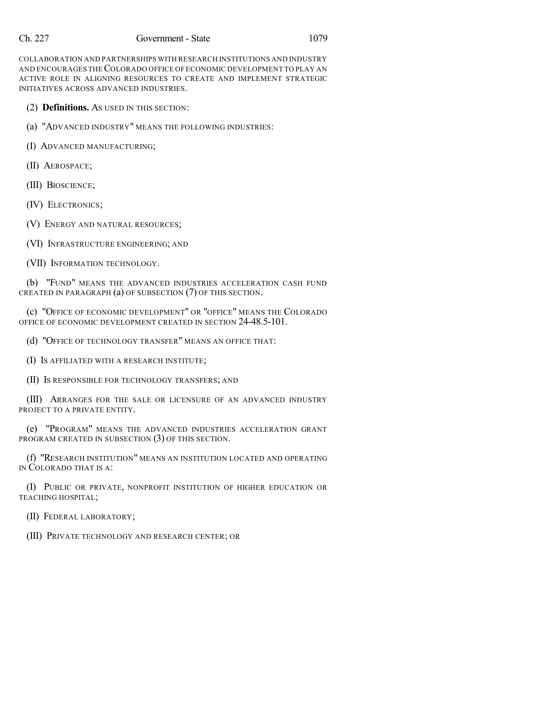COLLABORATION AND PARTNERSHIPS WITH RESEARCH INSTITUTIONS AND INDUSTRY AND ENCOURAGES THECOLORADO OFFICE OF ECONOMIC DEVELOPMENT TO PLAY AN ACTIVE ROLE IN ALIGNING RESOURCES TO CREATE AND IMPLEMENT STRATEGIC INITIATIVES ACROSS ADVANCED INDUSTRIES.

(2) **Definitions.** AS USED IN THIS SECTION:

(a) "ADVANCED INDUSTRY" MEANS THE FOLLOWING INDUSTRIES:

(I) ADVANCED MANUFACTURING;

(II) AEROSPACE;

(III) BIOSCIENCE;

(IV) ELECTRONICS;

(V) ENERGY AND NATURAL RESOURCES;

(VI) INFRASTRUCTURE ENGINEERING; AND

(VII) INFORMATION TECHNOLOGY.

(b) "FUND" MEANS THE ADVANCED INDUSTRIES ACCELERATION CASH FUND CREATED IN PARAGRAPH (a) OF SUBSECTION (7) OF THIS SECTION.

(c) "OFFICE OF ECONOMIC DEVELOPMENT" OR "OFFICE" MEANS THE COLORADO OFFICE OF ECONOMIC DEVELOPMENT CREATED IN SECTION 24-48.5-101.

(d) "OFFICE OF TECHNOLOGY TRANSFER" MEANS AN OFFICE THAT:

(I) IS AFFILIATED WITH A RESEARCH INSTITUTE;

(II) IS RESPONSIBLE FOR TECHNOLOGY TRANSFERS; AND

(III) ARRANGES FOR THE SALE OR LICENSURE OF AN ADVANCED INDUSTRY PROJECT TO A PRIVATE ENTITY.

(e) "PROGRAM" MEANS THE ADVANCED INDUSTRIES ACCELERATION GRANT PROGRAM CREATED IN SUBSECTION (3) OF THIS SECTION.

(f) "RESEARCH INSTITUTION" MEANS AN INSTITUTION LOCATED AND OPERATING IN COLORADO THAT IS A:

(I) PUBLIC OR PRIVATE, NONPROFIT INSTITUTION OF HIGHER EDUCATION OR TEACHING HOSPITAL;

(II) FEDERAL LABORATORY;

(III) PRIVATE TECHNOLOGY AND RESEARCH CENTER; OR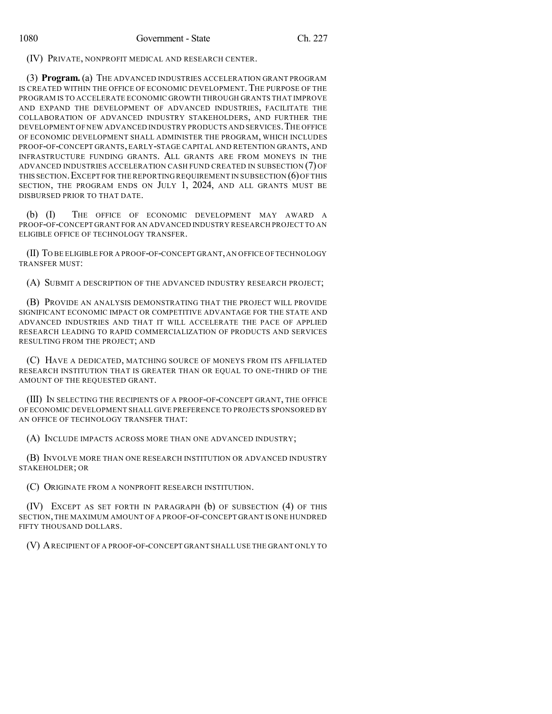(IV) PRIVATE, NONPROFIT MEDICAL AND RESEARCH CENTER.

(3) **Program.** (a) THE ADVANCED INDUSTRIES ACCELERATION GRANT PROGRAM IS CREATED WITHIN THE OFFICE OF ECONOMIC DEVELOPMENT. THE PURPOSE OF THE PROGRAM IS TO ACCELERATE ECONOMIC GROWTH THROUGH GRANTS THAT IMPROVE AND EXPAND THE DEVELOPMENT OF ADVANCED INDUSTRIES, FACILITATE THE COLLABORATION OF ADVANCED INDUSTRY STAKEHOLDERS, AND FURTHER THE DEVELOPMENT OF NEW ADVANCED INDUSTRY PRODUCTS AND SERVICES.THE OFFICE OF ECONOMIC DEVELOPMENT SHALL ADMINISTER THE PROGRAM, WHICH INCLUDES PROOF-OF-CONCEPT GRANTS, EARLY-STAGE CAPITAL AND RETENTION GRANTS, AND INFRASTRUCTURE FUNDING GRANTS. ALL GRANTS ARE FROM MONEYS IN THE ADVANCED INDUSTRIES ACCELERATION CASH FUND CREATED IN SUBSECTION (7) OF THIS SECTION. EXCEPT FOR THE REPORTING REQUIREMENT IN SUBSECTION  $(6)$  OF THIS SECTION, THE PROGRAM ENDS ON JULY 1, 2024, AND ALL GRANTS MUST BE DISBURSED PRIOR TO THAT DATE.

(b) (I) THE OFFICE OF ECONOMIC DEVELOPMENT MAY AWARD A PROOF-OF-CONCEPT GRANT FOR AN ADVANCED INDUSTRY RESEARCH PROJECT TO AN ELIGIBLE OFFICE OF TECHNOLOGY TRANSFER.

(II) TO BE ELIGIBLE FOR A PROOF-OF-CONCEPT GRANT,AN OFFICE OF TECHNOLOGY TRANSFER MUST:

(A) SUBMIT A DESCRIPTION OF THE ADVANCED INDUSTRY RESEARCH PROJECT;

(B) PROVIDE AN ANALYSIS DEMONSTRATING THAT THE PROJECT WILL PROVIDE SIGNIFICANT ECONOMIC IMPACT OR COMPETITIVE ADVANTAGE FOR THE STATE AND ADVANCED INDUSTRIES AND THAT IT WILL ACCELERATE THE PACE OF APPLIED RESEARCH LEADING TO RAPID COMMERCIALIZATION OF PRODUCTS AND SERVICES RESULTING FROM THE PROJECT; AND

(C) HAVE A DEDICATED, MATCHING SOURCE OF MONEYS FROM ITS AFFILIATED RESEARCH INSTITUTION THAT IS GREATER THAN OR EQUAL TO ONE-THIRD OF THE AMOUNT OF THE REQUESTED GRANT.

(III) IN SELECTING THE RECIPIENTS OF A PROOF-OF-CONCEPT GRANT, THE OFFICE OF ECONOMIC DEVELOPMENT SHALL GIVE PREFERENCE TO PROJECTS SPONSORED BY AN OFFICE OF TECHNOLOGY TRANSFER THAT:

(A) INCLUDE IMPACTS ACROSS MORE THAN ONE ADVANCED INDUSTRY;

(B) INVOLVE MORE THAN ONE RESEARCH INSTITUTION OR ADVANCED INDUSTRY STAKEHOLDER; OR

(C) ORIGINATE FROM A NONPROFIT RESEARCH INSTITUTION.

(IV) EXCEPT AS SET FORTH IN PARAGRAPH (b) OF SUBSECTION (4) OF THIS SECTION, THE MAXIMUM AMOUNT OF A PROOF-OF-CONCEPT GRANT IS ONE HUNDRED FIFTY THOUSAND DOLLARS.

(V) ARECIPIENT OF A PROOF-OF-CONCEPT GRANT SHALL USE THE GRANT ONLY TO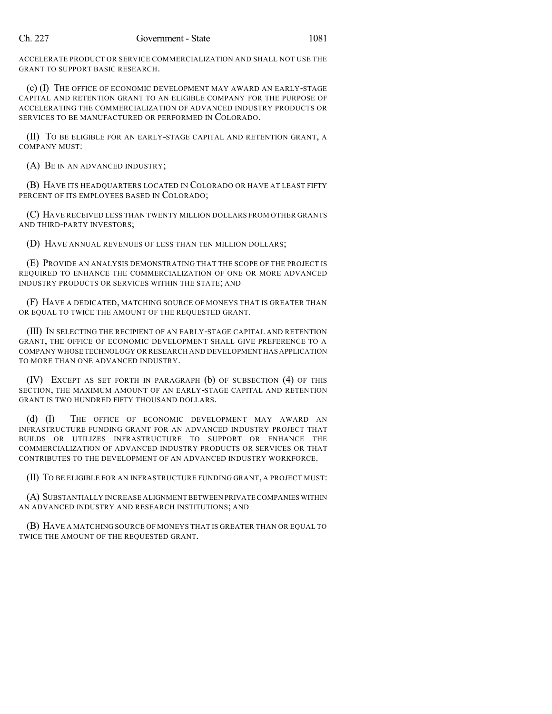ACCELERATE PRODUCT OR SERVICE COMMERCIALIZATION AND SHALL NOT USE THE GRANT TO SUPPORT BASIC RESEARCH.

(c) (I) THE OFFICE OF ECONOMIC DEVELOPMENT MAY AWARD AN EARLY-STAGE CAPITAL AND RETENTION GRANT TO AN ELIGIBLE COMPANY FOR THE PURPOSE OF ACCELERATING THE COMMERCIALIZATION OF ADVANCED INDUSTRY PRODUCTS OR SERVICES TO BE MANUFACTURED OR PERFORMED IN COLORADO.

(II) TO BE ELIGIBLE FOR AN EARLY-STAGE CAPITAL AND RETENTION GRANT, A COMPANY MUST:

(A) BE IN AN ADVANCED INDUSTRY;

(B) HAVE ITS HEADQUARTERS LOCATED IN COLORADO OR HAVE AT LEAST FIFTY PERCENT OF ITS EMPLOYEES BASED IN COLORADO;

(C) HAVE RECEIVED LESS THAN TWENTY MILLION DOLLARS FROM OTHER GRANTS AND THIRD-PARTY INVESTORS;

(D) HAVE ANNUAL REVENUES OF LESS THAN TEN MILLION DOLLARS;

(E) PROVIDE AN ANALYSIS DEMONSTRATING THAT THE SCOPE OF THE PROJECT IS REQUIRED TO ENHANCE THE COMMERCIALIZATION OF ONE OR MORE ADVANCED INDUSTRY PRODUCTS OR SERVICES WITHIN THE STATE; AND

(F) HAVE A DEDICATED, MATCHING SOURCE OF MONEYS THAT IS GREATER THAN OR EQUAL TO TWICE THE AMOUNT OF THE REQUESTED GRANT.

(III) IN SELECTING THE RECIPIENT OF AN EARLY-STAGE CAPITAL AND RETENTION GRANT, THE OFFICE OF ECONOMIC DEVELOPMENT SHALL GIVE PREFERENCE TO A COMPANY WHOSE TECHNOLOGY OR RESEARCH AND DEVELOPMENT HAS APPLICATION TO MORE THAN ONE ADVANCED INDUSTRY.

(IV) EXCEPT AS SET FORTH IN PARAGRAPH (b) OF SUBSECTION (4) OF THIS SECTION, THE MAXIMUM AMOUNT OF AN EARLY-STAGE CAPITAL AND RETENTION GRANT IS TWO HUNDRED FIFTY THOUSAND DOLLARS.

(d) (I) THE OFFICE OF ECONOMIC DEVELOPMENT MAY AWARD AN INFRASTRUCTURE FUNDING GRANT FOR AN ADVANCED INDUSTRY PROJECT THAT BUILDS OR UTILIZES INFRASTRUCTURE TO SUPPORT OR ENHANCE THE COMMERCIALIZATION OF ADVANCED INDUSTRY PRODUCTS OR SERVICES OR THAT CONTRIBUTES TO THE DEVELOPMENT OF AN ADVANCED INDUSTRY WORKFORCE.

(II) TO BE ELIGIBLE FOR AN INFRASTRUCTURE FUNDING GRANT, A PROJECT MUST:

(A) SUBSTANTIALLY INCREASE ALIGNMENT BETWEEN PRIVATE COMPANIES WITHIN AN ADVANCED INDUSTRY AND RESEARCH INSTITUTIONS; AND

(B) HAVE A MATCHING SOURCE OF MONEYS THAT IS GREATER THAN OR EQUAL TO TWICE THE AMOUNT OF THE REQUESTED GRANT.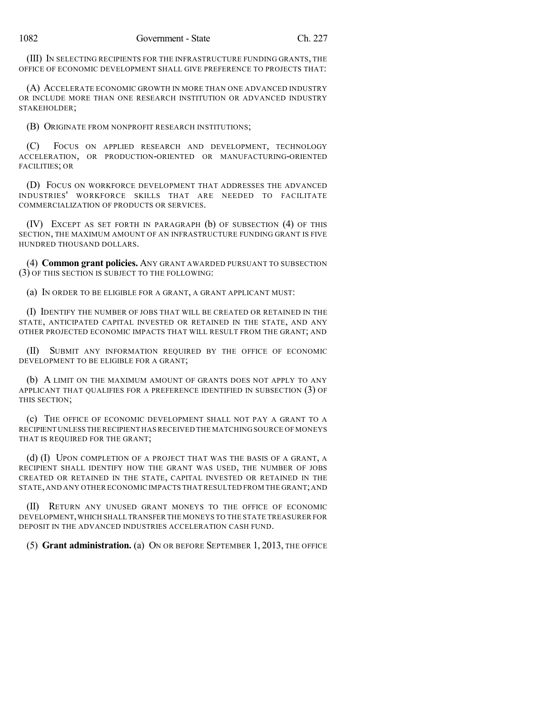(III) IN SELECTING RECIPIENTS FOR THE INFRASTRUCTURE FUNDING GRANTS, THE OFFICE OF ECONOMIC DEVELOPMENT SHALL GIVE PREFERENCE TO PROJECTS THAT:

(A) ACCELERATE ECONOMIC GROWTH IN MORE THAN ONE ADVANCED INDUSTRY OR INCLUDE MORE THAN ONE RESEARCH INSTITUTION OR ADVANCED INDUSTRY STAKEHOLDER;

(B) ORIGINATE FROM NONPROFIT RESEARCH INSTITUTIONS;

(C) FOCUS ON APPLIED RESEARCH AND DEVELOPMENT, TECHNOLOGY ACCELERATION, OR PRODUCTION-ORIENTED OR MANUFACTURING-ORIENTED FACILITIES; OR

(D) FOCUS ON WORKFORCE DEVELOPMENT THAT ADDRESSES THE ADVANCED INDUSTRIES' WORKFORCE SKILLS THAT ARE NEEDED TO FACILITATE COMMERCIALIZATION OF PRODUCTS OR SERVICES.

(IV) EXCEPT AS SET FORTH IN PARAGRAPH (b) OF SUBSECTION (4) OF THIS SECTION, THE MAXIMUM AMOUNT OF AN INFRASTRUCTURE FUNDING GRANT IS FIVE HUNDRED THOUSAND DOLLARS.

(4) **Common grant policies.** ANY GRANT AWARDED PURSUANT TO SUBSECTION (3) OF THIS SECTION IS SUBJECT TO THE FOLLOWING:

(a) IN ORDER TO BE ELIGIBLE FOR A GRANT, A GRANT APPLICANT MUST:

(I) IDENTIFY THE NUMBER OF JOBS THAT WILL BE CREATED OR RETAINED IN THE STATE, ANTICIPATED CAPITAL INVESTED OR RETAINED IN THE STATE, AND ANY OTHER PROJECTED ECONOMIC IMPACTS THAT WILL RESULT FROM THE GRANT; AND

(II) SUBMIT ANY INFORMATION REQUIRED BY THE OFFICE OF ECONOMIC DEVELOPMENT TO BE ELIGIBLE FOR A GRANT;

(b) A LIMIT ON THE MAXIMUM AMOUNT OF GRANTS DOES NOT APPLY TO ANY APPLICANT THAT QUALIFIES FOR A PREFERENCE IDENTIFIED IN SUBSECTION (3) OF THIS SECTION;

(c) THE OFFICE OF ECONOMIC DEVELOPMENT SHALL NOT PAY A GRANT TO A RECIPIENT UNLESS THE RECIPIENT HAS RECEIVED THE MATCHING SOURCE OF MONEYS THAT IS REQUIRED FOR THE GRANT;

(d) (I) UPON COMPLETION OF A PROJECT THAT WAS THE BASIS OF A GRANT, A RECIPIENT SHALL IDENTIFY HOW THE GRANT WAS USED, THE NUMBER OF JOBS CREATED OR RETAINED IN THE STATE, CAPITAL INVESTED OR RETAINED IN THE STATE,AND ANY OTHER ECONOMIC IMPACTS THAT RESULTED FROM THE GRANT;AND

(II) RETURN ANY UNUSED GRANT MONEYS TO THE OFFICE OF ECONOMIC DEVELOPMENT,WHICH SHALL TRANSFER THE MONEYS TO THE STATE TREASURER FOR DEPOSIT IN THE ADVANCED INDUSTRIES ACCELERATION CASH FUND.

(5) **Grant administration.** (a) ON OR BEFORE SEPTEMBER 1, 2013, THE OFFICE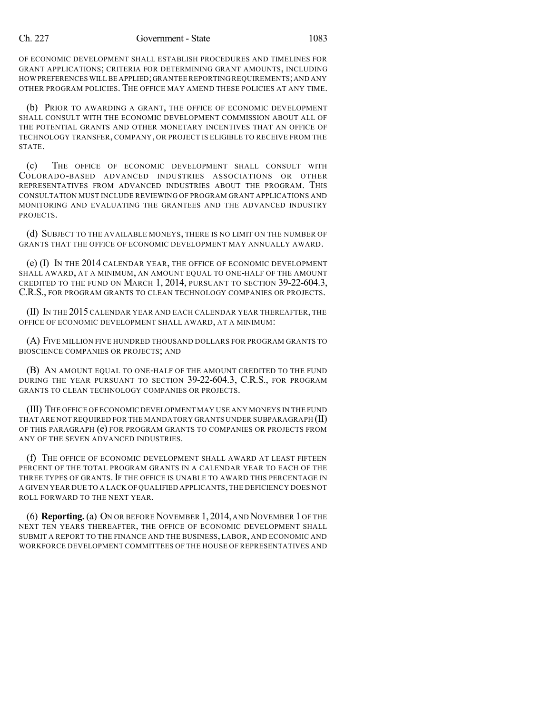### Ch. 227 Government - State 1083

OF ECONOMIC DEVELOPMENT SHALL ESTABLISH PROCEDURES AND TIMELINES FOR GRANT APPLICATIONS; CRITERIA FOR DETERMINING GRANT AMOUNTS, INCLUDING HOW PREFERENCES WILL BE APPLIED;GRANTEE REPORTING REQUIREMENTS;AND ANY OTHER PROGRAM POLICIES. THE OFFICE MAY AMEND THESE POLICIES AT ANY TIME.

(b) PRIOR TO AWARDING A GRANT, THE OFFICE OF ECONOMIC DEVELOPMENT SHALL CONSULT WITH THE ECONOMIC DEVELOPMENT COMMISSION ABOUT ALL OF THE POTENTIAL GRANTS AND OTHER MONETARY INCENTIVES THAT AN OFFICE OF TECHNOLOGY TRANSFER, COMPANY, OR PROJECT IS ELIGIBLE TO RECEIVE FROM THE STATE.

(c) THE OFFICE OF ECONOMIC DEVELOPMENT SHALL CONSULT WITH COLORADO-BASED ADVANCED INDUSTRIES ASSOCIATIONS OR OTHER REPRESENTATIVES FROM ADVANCED INDUSTRIES ABOUT THE PROGRAM. THIS CONSULTATION MUST INCLUDE REVIEWING OF PROGRAM GRANT APPLICATIONS AND MONITORING AND EVALUATING THE GRANTEES AND THE ADVANCED INDUSTRY PROJECTS.

(d) SUBJECT TO THE AVAILABLE MONEYS, THERE IS NO LIMIT ON THE NUMBER OF GRANTS THAT THE OFFICE OF ECONOMIC DEVELOPMENT MAY ANNUALLY AWARD.

(e) (I) IN THE 2014 CALENDAR YEAR, THE OFFICE OF ECONOMIC DEVELOPMENT SHALL AWARD, AT A MINIMUM, AN AMOUNT EQUAL TO ONE-HALF OF THE AMOUNT CREDITED TO THE FUND ON MARCH 1, 2014, PURSUANT TO SECTION 39-22-604.3, C.R.S., FOR PROGRAM GRANTS TO CLEAN TECHNOLOGY COMPANIES OR PROJECTS.

(II) IN THE 2015 CALENDAR YEAR AND EACH CALENDAR YEAR THEREAFTER, THE OFFICE OF ECONOMIC DEVELOPMENT SHALL AWARD, AT A MINIMUM:

(A) FIVE MILLION FIVE HUNDRED THOUSAND DOLLARS FOR PROGRAM GRANTS TO BIOSCIENCE COMPANIES OR PROJECTS; AND

(B) AN AMOUNT EQUAL TO ONE-HALF OF THE AMOUNT CREDITED TO THE FUND DURING THE YEAR PURSUANT TO SECTION 39-22-604.3, C.R.S., FOR PROGRAM GRANTS TO CLEAN TECHNOLOGY COMPANIES OR PROJECTS.

(III) THE OFFICE OF ECONOMIC DEVELOPMENT MAY USE ANY MONEYS IN THE FUND THAT ARE NOT REQUIRED FOR THE MANDATORY GRANTS UNDER SUBPARAGRAPH  $(\mathrm{II})$ OF THIS PARAGRAPH (e) FOR PROGRAM GRANTS TO COMPANIES OR PROJECTS FROM ANY OF THE SEVEN ADVANCED INDUSTRIES.

(f) THE OFFICE OF ECONOMIC DEVELOPMENT SHALL AWARD AT LEAST FIFTEEN PERCENT OF THE TOTAL PROGRAM GRANTS IN A CALENDAR YEAR TO EACH OF THE THREE TYPES OF GRANTS. IF THE OFFICE IS UNABLE TO AWARD THIS PERCENTAGE IN A GIVEN YEAR DUE TO A LACK OF QUALIFIED APPLICANTS,THE DEFICIENCY DOES NOT ROLL FORWARD TO THE NEXT YEAR.

(6) **Reporting.**(a) ON OR BEFORE NOVEMBER 1, 2014, AND NOVEMBER 1 OF THE NEXT TEN YEARS THEREAFTER, THE OFFICE OF ECONOMIC DEVELOPMENT SHALL SUBMIT A REPORT TO THE FINANCE AND THE BUSINESS, LABOR, AND ECONOMIC AND WORKFORCE DEVELOPMENT COMMITTEES OF THE HOUSE OF REPRESENTATIVES AND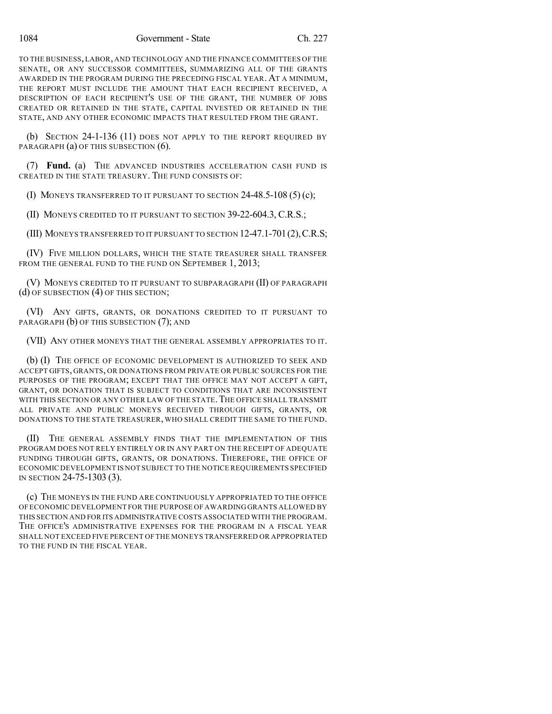TO THE BUSINESS,LABOR, AND TECHNOLOGY AND THE FINANCE COMMITTEES OF THE SENATE, OR ANY SUCCESSOR COMMITTEES, SUMMARIZING ALL OF THE GRANTS AWARDED IN THE PROGRAM DURING THE PRECEDING FISCAL YEAR. AT A MINIMUM, THE REPORT MUST INCLUDE THE AMOUNT THAT EACH RECIPIENT RECEIVED, A DESCRIPTION OF EACH RECIPIENT'S USE OF THE GRANT, THE NUMBER OF JOBS CREATED OR RETAINED IN THE STATE, CAPITAL INVESTED OR RETAINED IN THE STATE, AND ANY OTHER ECONOMIC IMPACTS THAT RESULTED FROM THE GRANT.

(b) SECTION 24-1-136 (11) DOES NOT APPLY TO THE REPORT REQUIRED BY PARAGRAPH (a) OF THIS SUBSECTION (6).

(7) **Fund.** (a) THE ADVANCED INDUSTRIES ACCELERATION CASH FUND IS CREATED IN THE STATE TREASURY. THE FUND CONSISTS OF:

(I) MONEYS TRANSFERRED TO IT PURSUANT TO SECTION 24-48.5-108 (5) (c);

(II) MONEYS CREDITED TO IT PURSUANT TO SECTION 39-22-604.3, C.R.S.;

(III) MONEYS TRANSFERRED TO IT PURSUANT TO SECTION 12-47.1-701(2),C.R.S;

(IV) FIVE MILLION DOLLARS, WHICH THE STATE TREASURER SHALL TRANSFER FROM THE GENERAL FUND TO THE FUND ON SEPTEMBER 1, 2013;

(V) MONEYS CREDITED TO IT PURSUANT TO SUBPARAGRAPH (II) OF PARAGRAPH (d) OF SUBSECTION (4) OF THIS SECTION;

(VI) ANY GIFTS, GRANTS, OR DONATIONS CREDITED TO IT PURSUANT TO PARAGRAPH (b) OF THIS SUBSECTION (7); AND

(VII) ANY OTHER MONEYS THAT THE GENERAL ASSEMBLY APPROPRIATES TO IT.

(b) (I) THE OFFICE OF ECONOMIC DEVELOPMENT IS AUTHORIZED TO SEEK AND ACCEPT GIFTS, GRANTS, OR DONATIONS FROM PRIVATE OR PUBLIC SOURCES FOR THE PURPOSES OF THE PROGRAM; EXCEPT THAT THE OFFICE MAY NOT ACCEPT A GIFT, GRANT, OR DONATION THAT IS SUBJECT TO CONDITIONS THAT ARE INCONSISTENT WITH THIS SECTION OR ANY OTHER LAW OF THE STATE. THE OFFICE SHALL TRANSMIT ALL PRIVATE AND PUBLIC MONEYS RECEIVED THROUGH GIFTS, GRANTS, OR DONATIONS TO THE STATE TREASURER, WHO SHALL CREDIT THE SAME TO THE FUND.

(II) THE GENERAL ASSEMBLY FINDS THAT THE IMPLEMENTATION OF THIS PROGRAM DOES NOT RELY ENTIRELY OR IN ANY PART ON THE RECEIPT OF ADEQUATE FUNDING THROUGH GIFTS, GRANTS, OR DONATIONS. THEREFORE, THE OFFICE OF ECONOMIC DEVELOPMENT IS NOT SUBJECT TO THE NOTICE REQUIREMENTS SPECIFIED IN SECTION 24-75-1303 (3).

(c) THE MONEYS IN THE FUND ARE CONTINUOUSLY APPROPRIATED TO THE OFFICE OF ECONOMIC DEVELOPMENT FOR THE PURPOSE OF AWARDING GRANTS ALLOWED BY THIS SECTION AND FORITS ADMINISTRATIVE COSTS ASSOCIATED WITH THE PROGRAM. THE OFFICE'S ADMINISTRATIVE EXPENSES FOR THE PROGRAM IN A FISCAL YEAR SHALL NOT EXCEED FIVE PERCENT OF THE MONEYS TRANSFERRED OR APPROPRIATED TO THE FUND IN THE FISCAL YEAR.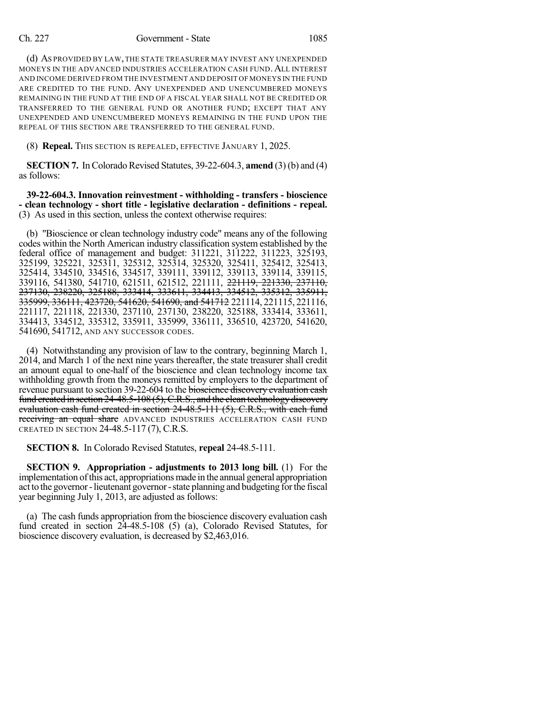## Ch. 227 Government - State 1085

(d) AS PROVIDED BY LAW,THE STATE TREASURER MAY INVEST ANY UNEXPENDED MONEYS IN THE ADVANCED INDUSTRIES ACCELERATION CASH FUND. ALL INTEREST AND INCOME DERIVED FROM THE INVESTMENT AND DEPOSIT OF MONEYS IN THE FUND ARE CREDITED TO THE FUND. ANY UNEXPENDED AND UNENCUMBERED MONEYS REMAINING IN THE FUND AT THE END OF A FISCAL YEAR SHALL NOT BE CREDITED OR TRANSFERRED TO THE GENERAL FUND OR ANOTHER FUND; EXCEPT THAT ANY UNEXPENDED AND UNENCUMBERED MONEYS REMAINING IN THE FUND UPON THE REPEAL OF THIS SECTION ARE TRANSFERRED TO THE GENERAL FUND.

(8) **Repeal.** THIS SECTION IS REPEALED, EFFECTIVE JANUARY 1, 2025.

**SECTION 7.** In Colorado Revised Statutes, 39-22-604.3, **amend** (3) (b) and (4) as follows:

**39-22-604.3. Innovation reinvestment - withholding - transfers - bioscience - clean technology - short title - legislative declaration - definitions - repeal.** (3) As used in this section, unless the context otherwise requires:

(b) "Bioscience or clean technology industry code" means any of the following codes within the North American industry classification system established by the federal office of management and budget: 311221, 311222, 311223, 325193, 325199, 325221, 325311, 325312, 325314, 325320, 325411, 325412, 325413, 325414, 334510, 334516, 334517, 339111, 339112, 339113, 339114, 339115, 339116, 541380, 541710, 621511, 621512, 221111, 221119, 221330, 237110, 237130, 238220, 325188, 333414, 333611, 334413, 334512, 335312, 335911, 335999, 336111, 423720, 541620, 541690, and 541712 221114, 221115, 221116, 221117, 221118, 221330, 237110, 237130, 238220, 325188, 333414, 333611, 334413, 334512, 335312, 335911, 335999, 336111, 336510, 423720, 541620, 541690, 541712, AND ANY SUCCESSOR CODES.

(4) Notwithstanding any provision of law to the contrary, beginning March 1, 2014, and March 1 of the next nine years thereafter, the state treasurer shall credit an amount equal to one-half of the bioscience and clean technology income tax withholding growth from the moneys remitted by employers to the department of revenue pursuant to section 39-22-604 to the bioscience discovery evaluation cash fund created in section 24-48.5-108 (5), C.R.S., and the clean technology discovery evaluation cash fund created in section 24-48.5-111 (5), C.R.S., with each fund receiving an equal share ADVANCED INDUSTRIES ACCELERATION CASH FUND CREATED IN SECTION 24-48.5-117 (7), C.R.S.

**SECTION 8.** In Colorado Revised Statutes, **repeal** 24-48.5-111.

**SECTION 9. Appropriation - adjustments to 2013 long bill.** (1) For the implementation ofthis act, appropriations made in the annual general appropriation act to the governor-lieutenant governor-state planning and budgeting forthe fiscal year beginning July 1, 2013, are adjusted as follows:

(a) The cash funds appropriation from the bioscience discovery evaluation cash fund created in section 24-48.5-108 (5) (a), Colorado Revised Statutes, for bioscience discovery evaluation, is decreased by \$2,463,016.